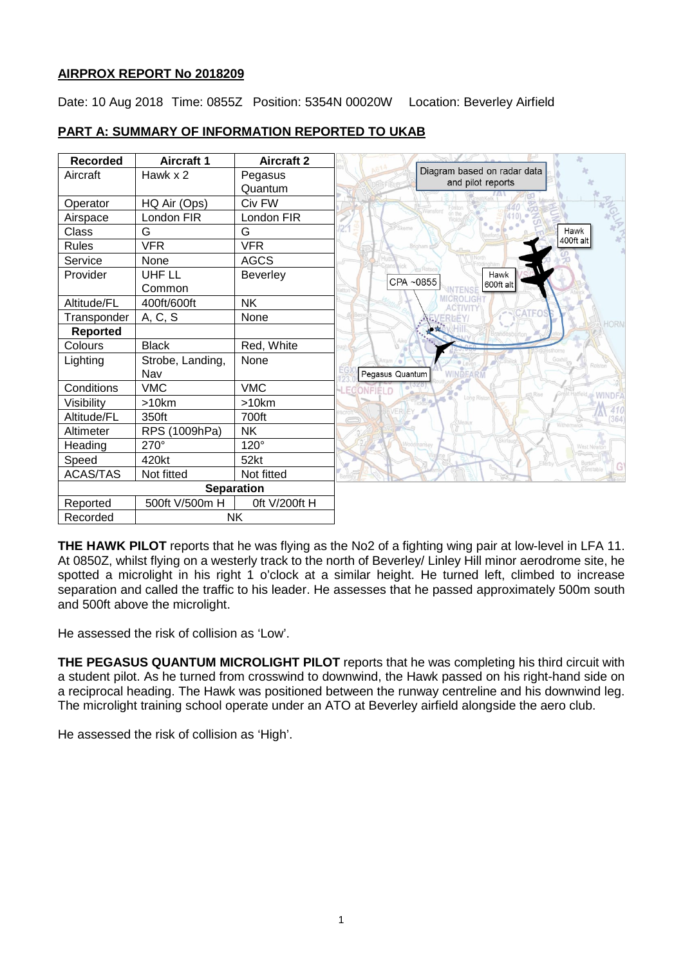# **AIRPROX REPORT No 2018209**

Date: 10 Aug 2018 Time: 0855Z Position: 5354N 00020W Location: Beverley Airfield

#### **Recorded Aircraft 1 Aircraft 2** Diagram based on radar data Aircraft Hawk x 2 Pegasus and pilot reports Quantum Operator | HQ Air (Ops) | Civ FW Airspace | London FIR | London FIR Class G G Hawk 400ft alt Rules VFR VFR<br>Service None AGCS Service None<br>Provider UHF II Provider **Beverley** Hawk CPA ~0855 600ft al Common Altitude/FL 400ft/600ft NK  $Transport  $| A, C, S |$  None$ **Reported**<br>Colours Black Red, White Lighting Strobe, Landing, None Pegasus Quantum Nav<br>VMC Conditions VMC VMC **WIND** Visibility | >10km | >10km Altitude/FL 350ft 700ft Altimeter | RPS (1009hPa) | NK Heading 270° 120° Speed 420kt 52kt ACAS/TAS | Not fitted | Not fitted **Separation** Reported | 500ft V/500m H | 0ft V/200ft H Recorded | NK

# **PART A: SUMMARY OF INFORMATION REPORTED TO UKAB**

**THE HAWK PILOT** reports that he was flying as the No2 of a fighting wing pair at low-level in LFA 11. At 0850Z, whilst flying on a westerly track to the north of Beverley/ Linley Hill minor aerodrome site, he spotted a microlight in his right 1 o'clock at a similar height. He turned left, climbed to increase separation and called the traffic to his leader. He assesses that he passed approximately 500m south and 500ft above the microlight.

He assessed the risk of collision as 'Low'.

**THE PEGASUS QUANTUM MICROLIGHT PILOT** reports that he was completing his third circuit with a student pilot. As he turned from crosswind to downwind, the Hawk passed on his right-hand side on a reciprocal heading. The Hawk was positioned between the runway centreline and his downwind leg. The microlight training school operate under an ATO at Beverley airfield alongside the aero club.

He assessed the risk of collision as 'High'.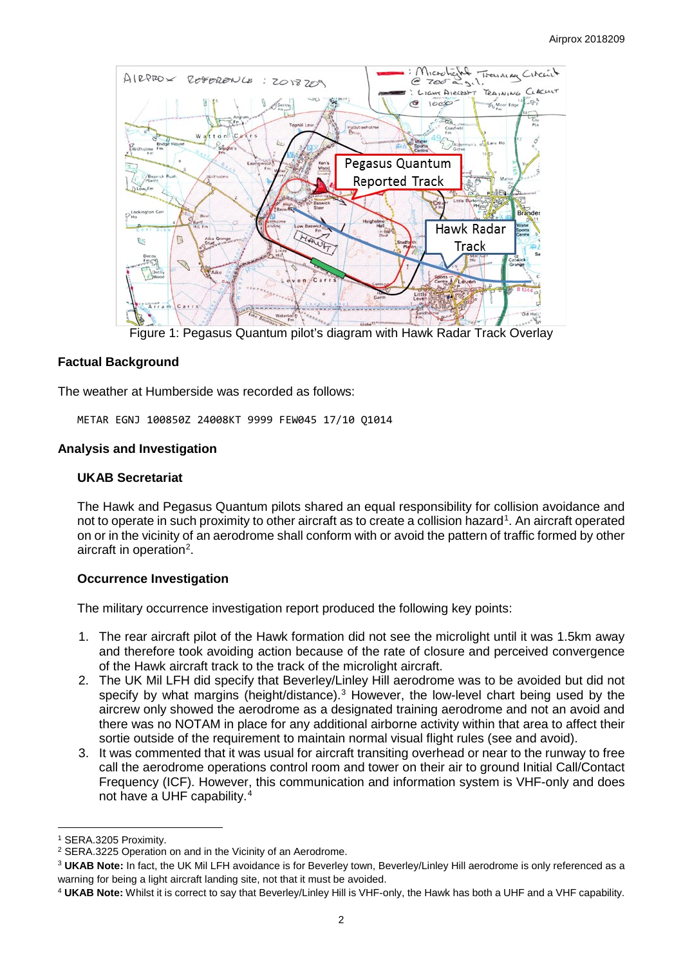

Figure 1: Pegasus Quantum pilot's diagram with Hawk Radar Track Overlay

# **Factual Background**

The weather at Humberside was recorded as follows:

METAR EGNJ 100850Z 24008KT 9999 FEW045 17/10 Q1014

## **Analysis and Investigation**

## **UKAB Secretariat**

The Hawk and Pegasus Quantum pilots shared an equal responsibility for collision avoidance and not to operate in such proximity to other aircraft as to create a collision hazard<sup>[1](#page-1-0)</sup>. An aircraft operated on or in the vicinity of an aerodrome shall conform with or avoid the pattern of traffic formed by other aircraft in operation<sup>[2](#page-1-1)</sup>.

## **Occurrence Investigation**

The military occurrence investigation report produced the following key points:

- 1. The rear aircraft pilot of the Hawk formation did not see the microlight until it was 1.5km away and therefore took avoiding action because of the rate of closure and perceived convergence of the Hawk aircraft track to the track of the microlight aircraft.
- 2. The UK Mil LFH did specify that Beverley/Linley Hill aerodrome was to be avoided but did not specify by what margins (height/distance).<sup>[3](#page-1-2)</sup> However, the low-level chart being used by the aircrew only showed the aerodrome as a designated training aerodrome and not an avoid and there was no NOTAM in place for any additional airborne activity within that area to affect their sortie outside of the requirement to maintain normal visual flight rules (see and avoid).
- 3. It was commented that it was usual for aircraft transiting overhead or near to the runway to free call the aerodrome operations control room and tower on their air to ground Initial Call/Contact Frequency (ICF). However, this communication and information system is VHF-only and does not have a UHF capability.[4](#page-1-3)

l

<span id="page-1-0"></span><sup>1</sup> SERA.3205 Proximity.

<span id="page-1-1"></span><sup>2</sup> SERA.3225 Operation on and in the Vicinity of an Aerodrome.

<span id="page-1-2"></span><sup>3</sup> **UKAB Note:** In fact, the UK Mil LFH avoidance is for Beverley town, Beverley/Linley Hill aerodrome is only referenced as a warning for being a light aircraft landing site, not that it must be avoided.

<span id="page-1-3"></span><sup>4</sup> **UKAB Note:** Whilst it is correct to say that Beverley/Linley Hill is VHF-only, the Hawk has both a UHF and a VHF capability.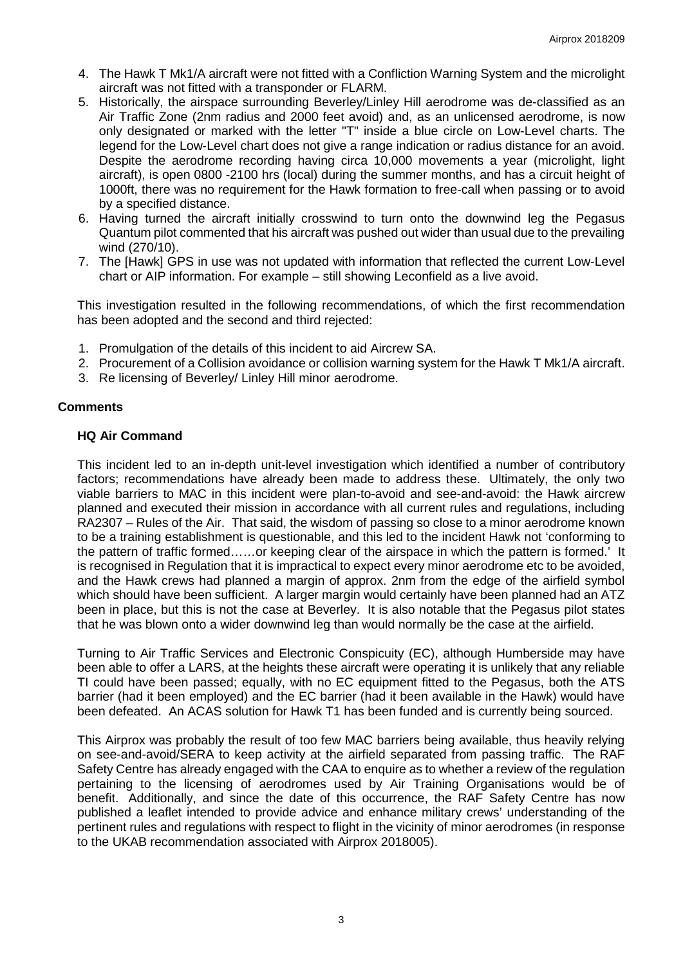- 4. The Hawk T Mk1/A aircraft were not fitted with a Confliction Warning System and the microlight aircraft was not fitted with a transponder or FLARM.
- 5. Historically, the airspace surrounding Beverley/Linley Hill aerodrome was de-classified as an Air Traffic Zone (2nm radius and 2000 feet avoid) and, as an unlicensed aerodrome, is now only designated or marked with the letter "T" inside a blue circle on Low-Level charts. The legend for the Low-Level chart does not give a range indication or radius distance for an avoid. Despite the aerodrome recording having circa 10,000 movements a year (microlight, light aircraft), is open 0800 -2100 hrs (local) during the summer months, and has a circuit height of 1000ft, there was no requirement for the Hawk formation to free-call when passing or to avoid by a specified distance.
- 6. Having turned the aircraft initially crosswind to turn onto the downwind leg the Pegasus Quantum pilot commented that his aircraft was pushed out wider than usual due to the prevailing wind (270/10).
- 7. The [Hawk] GPS in use was not updated with information that reflected the current Low-Level chart or AIP information. For example – still showing Leconfield as a live avoid.

This investigation resulted in the following recommendations, of which the first recommendation has been adopted and the second and third rejected:

- 1. Promulgation of the details of this incident to aid Aircrew SA.
- 2. Procurement of a Collision avoidance or collision warning system for the Hawk T Mk1/A aircraft.
- 3. Re licensing of Beverley/ Linley Hill minor aerodrome.

## **Comments**

## **HQ Air Command**

This incident led to an in-depth unit-level investigation which identified a number of contributory factors; recommendations have already been made to address these. Ultimately, the only two viable barriers to MAC in this incident were plan-to-avoid and see-and-avoid: the Hawk aircrew planned and executed their mission in accordance with all current rules and regulations, including RA2307 – Rules of the Air. That said, the wisdom of passing so close to a minor aerodrome known to be a training establishment is questionable, and this led to the incident Hawk not 'conforming to the pattern of traffic formed……or keeping clear of the airspace in which the pattern is formed.' It is recognised in Regulation that it is impractical to expect every minor aerodrome etc to be avoided, and the Hawk crews had planned a margin of approx. 2nm from the edge of the airfield symbol which should have been sufficient. A larger margin would certainly have been planned had an ATZ been in place, but this is not the case at Beverley. It is also notable that the Pegasus pilot states that he was blown onto a wider downwind leg than would normally be the case at the airfield.

Turning to Air Traffic Services and Electronic Conspicuity (EC), although Humberside may have been able to offer a LARS, at the heights these aircraft were operating it is unlikely that any reliable TI could have been passed; equally, with no EC equipment fitted to the Pegasus, both the ATS barrier (had it been employed) and the EC barrier (had it been available in the Hawk) would have been defeated. An ACAS solution for Hawk T1 has been funded and is currently being sourced.

This Airprox was probably the result of too few MAC barriers being available, thus heavily relying on see-and-avoid/SERA to keep activity at the airfield separated from passing traffic. The RAF Safety Centre has already engaged with the CAA to enquire as to whether a review of the regulation pertaining to the licensing of aerodromes used by Air Training Organisations would be of benefit. Additionally, and since the date of this occurrence, the RAF Safety Centre has now published a leaflet intended to provide advice and enhance military crews' understanding of the pertinent rules and regulations with respect to flight in the vicinity of minor aerodromes (in response to the UKAB recommendation associated with Airprox 2018005).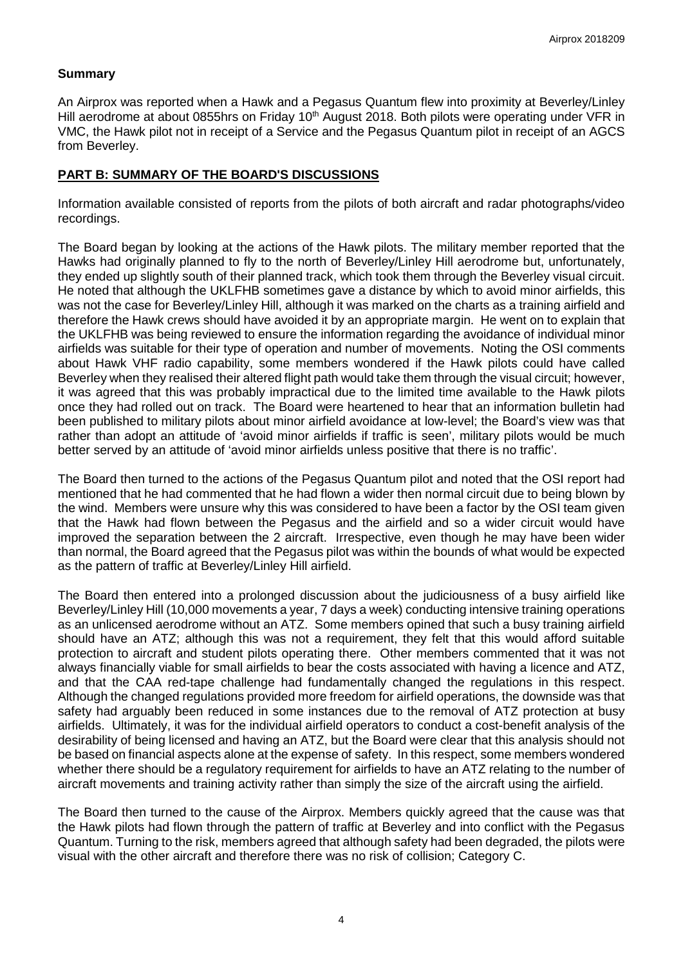## **Summary**

An Airprox was reported when a Hawk and a Pegasus Quantum flew into proximity at Beverley/Linley Hill aerodrome at about 0855hrs on Friday 10<sup>th</sup> August 2018. Both pilots were operating under VFR in VMC, the Hawk pilot not in receipt of a Service and the Pegasus Quantum pilot in receipt of an AGCS from Beverley.

# **PART B: SUMMARY OF THE BOARD'S DISCUSSIONS**

Information available consisted of reports from the pilots of both aircraft and radar photographs/video recordings.

The Board began by looking at the actions of the Hawk pilots. The military member reported that the Hawks had originally planned to fly to the north of Beverley/Linley Hill aerodrome but, unfortunately, they ended up slightly south of their planned track, which took them through the Beverley visual circuit. He noted that although the UKLFHB sometimes gave a distance by which to avoid minor airfields, this was not the case for Beverley/Linley Hill, although it was marked on the charts as a training airfield and therefore the Hawk crews should have avoided it by an appropriate margin. He went on to explain that the UKLFHB was being reviewed to ensure the information regarding the avoidance of individual minor airfields was suitable for their type of operation and number of movements. Noting the OSI comments about Hawk VHF radio capability, some members wondered if the Hawk pilots could have called Beverley when they realised their altered flight path would take them through the visual circuit; however, it was agreed that this was probably impractical due to the limited time available to the Hawk pilots once they had rolled out on track. The Board were heartened to hear that an information bulletin had been published to military pilots about minor airfield avoidance at low-level; the Board's view was that rather than adopt an attitude of 'avoid minor airfields if traffic is seen', military pilots would be much better served by an attitude of 'avoid minor airfields unless positive that there is no traffic'.

The Board then turned to the actions of the Pegasus Quantum pilot and noted that the OSI report had mentioned that he had commented that he had flown a wider then normal circuit due to being blown by the wind. Members were unsure why this was considered to have been a factor by the OSI team given that the Hawk had flown between the Pegasus and the airfield and so a wider circuit would have improved the separation between the 2 aircraft. Irrespective, even though he may have been wider than normal, the Board agreed that the Pegasus pilot was within the bounds of what would be expected as the pattern of traffic at Beverley/Linley Hill airfield.

The Board then entered into a prolonged discussion about the judiciousness of a busy airfield like Beverley/Linley Hill (10,000 movements a year, 7 days a week) conducting intensive training operations as an unlicensed aerodrome without an ATZ. Some members opined that such a busy training airfield should have an ATZ; although this was not a requirement, they felt that this would afford suitable protection to aircraft and student pilots operating there. Other members commented that it was not always financially viable for small airfields to bear the costs associated with having a licence and ATZ, and that the CAA red-tape challenge had fundamentally changed the regulations in this respect. Although the changed regulations provided more freedom for airfield operations, the downside was that safety had arguably been reduced in some instances due to the removal of ATZ protection at busy airfields. Ultimately, it was for the individual airfield operators to conduct a cost-benefit analysis of the desirability of being licensed and having an ATZ, but the Board were clear that this analysis should not be based on financial aspects alone at the expense of safety. In this respect, some members wondered whether there should be a regulatory requirement for airfields to have an ATZ relating to the number of aircraft movements and training activity rather than simply the size of the aircraft using the airfield.

The Board then turned to the cause of the Airprox. Members quickly agreed that the cause was that the Hawk pilots had flown through the pattern of traffic at Beverley and into conflict with the Pegasus Quantum. Turning to the risk, members agreed that although safety had been degraded, the pilots were visual with the other aircraft and therefore there was no risk of collision; Category C.